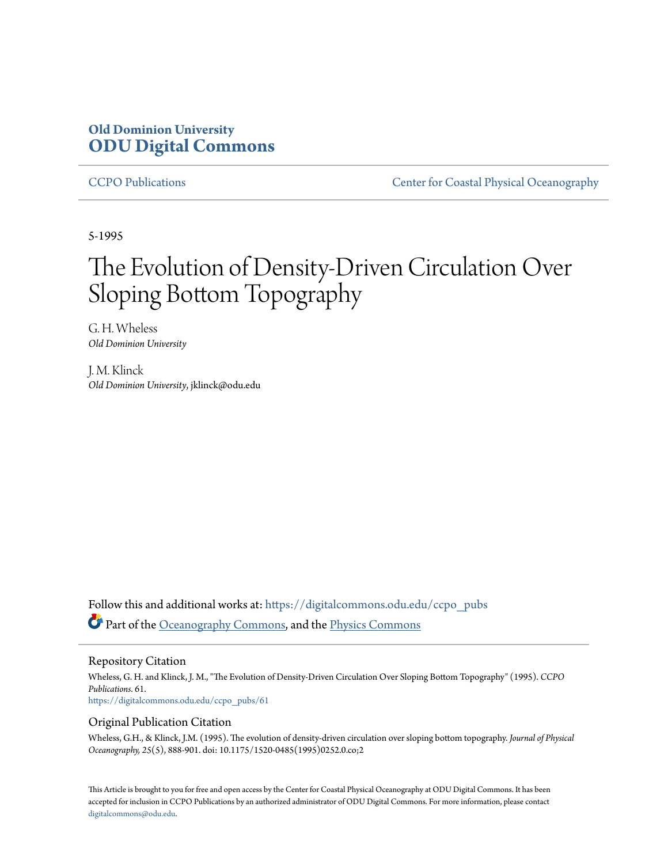# **Old Dominion University [ODU Digital Commons](https://digitalcommons.odu.edu?utm_source=digitalcommons.odu.edu%2Fccpo_pubs%2F61&utm_medium=PDF&utm_campaign=PDFCoverPages)**

[CCPO Publications](https://digitalcommons.odu.edu/ccpo_pubs?utm_source=digitalcommons.odu.edu%2Fccpo_pubs%2F61&utm_medium=PDF&utm_campaign=PDFCoverPages) [Center for Coastal Physical Oceanography](https://digitalcommons.odu.edu/ccpo?utm_source=digitalcommons.odu.edu%2Fccpo_pubs%2F61&utm_medium=PDF&utm_campaign=PDFCoverPages)

5-1995

# The Evolution of Density-Driven Circulation Over Sloping Bottom Topography

G. H. Wheless *Old Dominion University*

J. M. Klinck *Old Dominion University*, jklinck@odu.edu

Follow this and additional works at: [https://digitalcommons.odu.edu/ccpo\\_pubs](https://digitalcommons.odu.edu/ccpo_pubs?utm_source=digitalcommons.odu.edu%2Fccpo_pubs%2F61&utm_medium=PDF&utm_campaign=PDFCoverPages) Part of the [Oceanography Commons,](http://network.bepress.com/hgg/discipline/191?utm_source=digitalcommons.odu.edu%2Fccpo_pubs%2F61&utm_medium=PDF&utm_campaign=PDFCoverPages) and the [Physics Commons](http://network.bepress.com/hgg/discipline/193?utm_source=digitalcommons.odu.edu%2Fccpo_pubs%2F61&utm_medium=PDF&utm_campaign=PDFCoverPages)

Repository Citation

Wheless, G. H. and Klinck, J. M., "The Evolution of Density-Driven Circulation Over Sloping Bottom Topography" (1995). *CCPO Publications*. 61. [https://digitalcommons.odu.edu/ccpo\\_pubs/61](https://digitalcommons.odu.edu/ccpo_pubs/61?utm_source=digitalcommons.odu.edu%2Fccpo_pubs%2F61&utm_medium=PDF&utm_campaign=PDFCoverPages)

# Original Publication Citation

Wheless, G.H., & Klinck, J.M. (1995). The evolution of density-driven circulation over sloping bottom topography. *Journal of Physical Oceanography, 25*(5), 888-901. doi: 10.1175/1520-0485(1995)0252.0.co;2

This Article is brought to you for free and open access by the Center for Coastal Physical Oceanography at ODU Digital Commons. It has been accepted for inclusion in CCPO Publications by an authorized administrator of ODU Digital Commons. For more information, please contact [digitalcommons@odu.edu.](mailto:digitalcommons@odu.edu)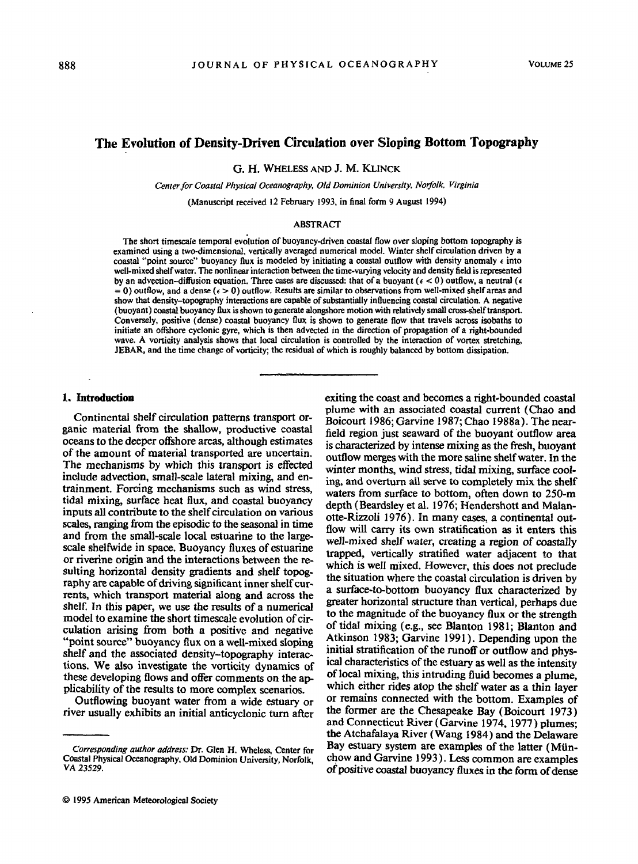## The Evolution of Density-Driven Circulation over Sloping Bottom Topography

G. H. WHELESS AND J. M. KLINCK

*Center for Coastal Physical Oceanography, Old Dominion University, Norfolk. Virginia* 

(Manuscript received 12 February 1993, in final form 9 August 1994)

#### ABSTRACT

The short timescale temporal evolution of buoyancy-driven coastal flow over sloping bottom topography is examined using a two-dimensional, vertically averaged numerical model. Winter shelf circulation driven by a coastal "point source" buoyancy flux is modeled by initiating a coastal outflow with density anomaly *t* into well-mixed shelf water. The nonlinear interaction between the time-varying velocity and density field is represented by an advection-diffusion equation. Three cases are discussed: that of a buoyant ( $\epsilon$  < 0) outflow, a neutral ( $\epsilon$  $= 0$ ) outflow, and a dense ( $\epsilon > 0$ ) outflow. Results are similar to observations from well-mixed shelf areas and show that density-topography interactions are capable of substantially influencing coastal circulation. A negative (buoyant) coastal buoyancy flux is shown to generate alongshore motion with relatively small cross-shelf transport. Conversely, positive (dense) coastal buoyancy flux is shown to generate flow that travels across isobaths to initiate an offshore cyclonic gyre, which is then advected in the direction of propagation of a right-bounded wave. A vorticity analysis shows that local circulation is controlled by the interaction of vortex stretching, JEBAR, and the time change of vorticity; the residual of which is roughly balanced by bottom dissipation.

#### 1. Introduction

Continental shelf circulation patterns transport organic material from the shallow, productive coastal oceans to the deeper offshore areas, although estimates of the amount of material transported are uncertain. The mechanisms by which this transport *is* effected include advection, small-scale lateral mixing, and entrainment. Forcing mechanisms such as wind stress, tidal mixing, surface heat flux, and coastal buoyancy inputs all contribute to the shelf circulation on various scales, ranging from the episodic to the seasonal in time and from the small-scale local estuarine to the largescale sheltwide in space. Buoyancy fluxes of estuarine or riverine origin and the interactions between the resulting horizontal density gradients and shelf topography are capable of driving significant inner shelf currents, which transport material along and across the shelf. In this paper, we use the results of a numerical model to examine the short timescale evolution of circulation arising from both a positive and negative "point source" buoyancy flux on a well-mixed sloping shelf and the associated density-topography interactions. We also investigate the vorticity dynamics of these developing flows and offer comments on the applicability of the results to more complex scenarios.

Outflowing buoyant water from a wide estuary or river usually exhibits an initial anticyclonic turn after exiting the coast and becomes a right-bounded coastal plume with an associated coastal current (Chao and Boicourt 1986; Garvine 1987; Chao l 988a). The nearfield region just seaward of the buoyant outflow area is characterized by intense mixing as the fresh, buoyant outflow merges with the more saline shelf water. In the winter months, wind stress, tidal mixing, surface cooling, and overturn all serve to completely mix the shelf waters from surface to bottom, often down to 250-m depth (Beardsley et al. 1976; Hendershott and Malanotte-Rizzoli 1976). In many cases, a continental outflow will carry its own stratification as it enters this well-mixed shelf water, creating a region of coastally trapped, vertically stratified water adjacent to that which is well mixed. However, this does not preclude the situation where the coastal circulation is driven by a surface-to-bottom buoyancy flux characterized by greater horizontal structure than vertical, perhaps due to the magnitude of the buoyancy flux or the strength of tidal mixing (e.g., see Blanton 1981; Blanton and Atkinson 1983; Garvine 1991). Depending upon the initial stratification of the runoff or outflow and physical characteristics of the estuary as well as the intensity of local mixing, this intruding fluid becomes a plume, which either rides atop the shelf water as a thin layer or remains connected with the bottom. Examples of the former are the Chesapeake Bay (Boicourt 1973) and Connecticut River (Garvine 1974, 1977) plumes; the Atchafalaya River (Wang 1984) and the Delaware Bay estuary system are examples of the latter (Münchow and Garvine 1993). Less common are examples of positive coastal buoyancy fluxes in the form of dense

*Corresponding author address:* Dr. Glen H. Wheless, Center for Coastal Physical Oceanography, Old Dominion University, Norfolk, VA 23529.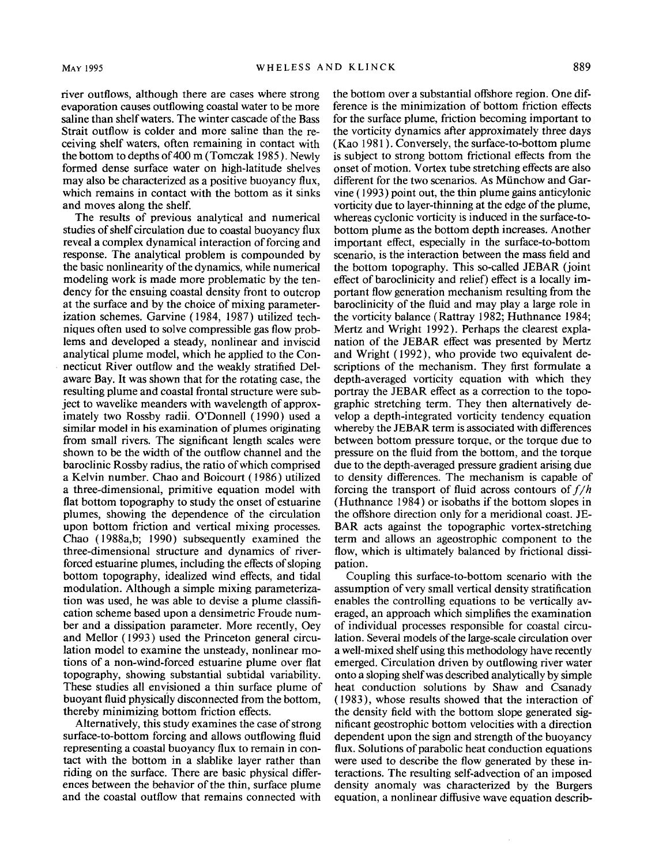river outflows, although there are cases where strong evaporation causes outflowing coastal water to be more saline than shelf waters. The winter cascade of the Bass Strait outflow is colder and more saline than the receiving shelf waters, often remaining in contact with the bottom to depths of 400 m (Tomczak 1985). Newly formed dense surface water on high-latitude shelves may also be characterized as a positive buoyancy flux, which remains in contact with the bottom as it sinks and moves along the shelf.

The results of previous analytical and numerical studies of shelf circulation due to coastal buoyancy flux reveal a complex dynamical interaction of forcing and response. The analytical problem is compounded by the basic nonlinearity of the dynamics, while numerical modeling work is made more problematic by the tendency for the ensuing coastal density front to outcrop at the surface and by the choice of mixing parameterization schemes. Garvine ( 1984, 1987) utilized techniques often used to solve compressible gas flow problems and developed a steady, nonlinear and inviscid analytical plume model, which he applied to the Connecticut River outflow and the weakly stratified Delaware Bay. It was shown that for the rotating case, the resulting plume and coastal frontal structure were subject to wavelike meanders with wavelength of approximately two Rossby radii. O'Donnell (1990) used a similar model in his examination of plumes originating from small rivers. The significant length scales were shown to be the width of the outflow channel and the baroclinic Rossby radius, the ratio of which comprised a Kelvin number. Chao and Boicourt ( 1986) utilized a three-dimensional, primitive equation model with flat bottom topography to study the onset of estuarine plumes, showing the dependence of the circulation upon bottom friction and vertical mixing processes. Chao (1988a,b; 1990) subsequently examined the three-dimensional structure and dynamics of riverforced estuarine plumes, including the effects of sloping bottom topography, idealized wind effects, and tidal modulation. Although a simple mixing parameterization was used, he was able to devise a plume classification scheme based upon a densimetric Froude number and a dissipation parameter. More recently, Oey and Mellor ( 1993) used the Princeton general circulation model to examine the unsteady, nonlinear motions of a non-wind-forced estuarine plume over flat topography, showing substantial subtidal variability. These studies all envisioned a thin surface plume of buoyant fluid physically disconnected from the bottom, thereby minimizing bottom friction effects.

Alternatively, this study examines the case of strong surface-to-bottom forcing and allows outflowing fluid representing a coastal buoyancy flux to remain in contact with the bottom in a slablike layer rather than riding on the surface. There are basic physical differences between the behavior of the thin, surface plume and the coastal outflow that remains connected with

the bottom over a substantial offshore region. One difference is the minimization of bottom friction effects for the surface plume, friction becoming important to the vorticity dynamics after approximately three days (Kao 1981). Conversely, the surface-to-bottom plume is subject to strong bottom frictional effects from the onset of motion. Vortex tube stretching effects are also different for the two scenarios. As Miinchow and Garvine ( 1993) point out, the thin plume gains anticylonic vorticity due to layer-thinning at the edge of the plume, whereas cyclonic vorticity is induced in the surface-tobottom plume as the bottom depth increases. Another important effect, especially in the surface-to-bottom scenario, is the interaction between the mass field and the bottom topography. This so-called JEBAR (joint effect of baroclinicity and relief) effect is a locally important flow generation mechanism resulting from the baroclinicity of the fluid and may play a large role in the vorticity balance (Rattray 1982; Huthnance 1984; Mertz and Wright 1992). Perhaps the clearest explanation of the JEBAR effect was presented by Mertz and Wright (1992), who provide two equivalent descriptions of the mechanism. They first formulate a depth-averaged vorticity equation with which they portray the JEBAR effect as a correction to the topographic stretching term. They then alternatively develop a depth-integrated vorticity tendency equation whereby the JEBAR term is associated with differences between bottom pressure torque, or the torque due to pressure on the fluid from the bottom, and the torque due to the depth-averaged pressure gradient arising due to density differences. The mechanism is capable of forcing the transport of fluid across contours of  $f/h$ (Huthnance 1984) or isobaths if the bottom slopes in the offshore direction only for a meridional coast. JE-BAR acts against the topographic vortex-stretching term and allows an ageostrophic component to the flow, which is ultimately balanced by frictional dissipation.

Coupling this surface-to-bottom scenario with the assumption of very small vertical density stratification enables the controlling equations to be vertically averaged, an approach which simplifies the examination of individual processes responsible for coastal circulation. Several models of the large-scale circulation over a well-mixed shelf using this methodology have recently emerged. Circulation driven by outflowing river water onto a sloping shelf was described analytically by simple heat conduction solutions by Shaw and Csanady (1983), whose results showed that the interaction of the density field with the bottom slope generated significant geostrophic bottom velocities with a direction dependent upon the sign and strength of the buoyancy flux. Solutions of parabolic heat conduction equations were used to describe the flow generated by these interactions. The resulting self-advection of an imposed density anomaly was characterized by the Burgers equation, a nonlinear diffusive wave equation describ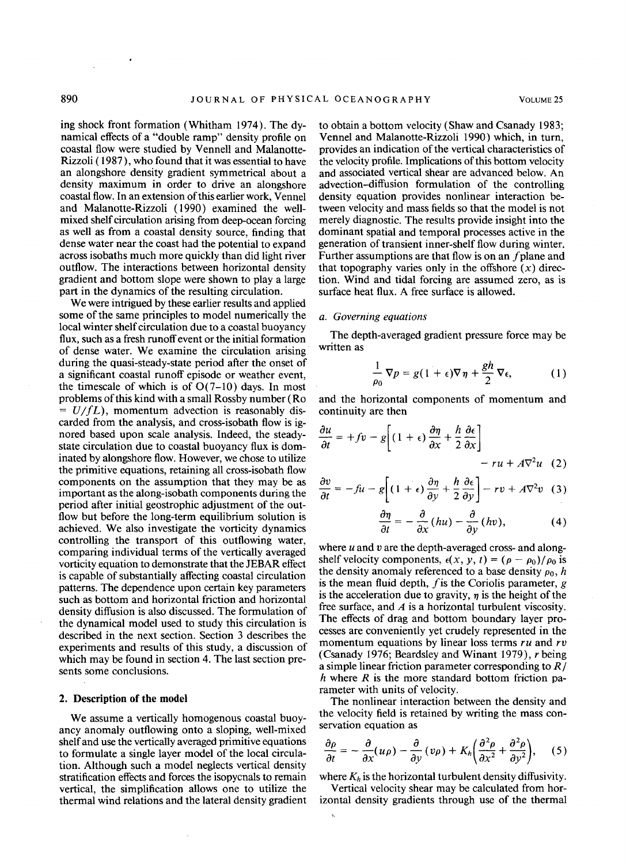ing shock front formation (Whitham 1974). The dynamical effects of a "double ramp" density profile on coastal flow were studied by Vennell and Malanotte-Rizzoli ( 1987), who found that it was essential to have an alongshore density gradient symmetrical about a density maximum in order to drive an alongshore coastal flow. In an extension of this earlier work, Vennel and Malanotte-Rizzoli (1990) examined the wellmixed shelf circulation arising from deep-ocean forcing as well as from a coastal density source, finding that dense water near the coast had the potential to expand across isobaths much more quickly than did light river outflow. The interactions between horizontal density gradient and bottom slope were shown to play a large part in the dynamics of the resulting circulation.

We were intrigued by these earlier results and applied some of the same principles to model numerically the local winter shelf circulation due to a coastal buoyancy flux, such as a fresh runoff event or the initial formation of dense water. We examine the circulation arising during the quasi-steady-state period after the onset of a significant coastal runoff episode or weather event, the timescale of which is of  $O(7-10)$  days. In most problems of this kind with a small Rossby number (Ro  $= U/fL$ ), momentum advection is reasonably discarded from the analysis, and cross-isobath flow is ignored based upon scale analysis. Indeed, the steadystate circulation due to coastal buoyancy flux is dominated by alongshore flow. However, we chose to utilize the primitive equations, retaining all cross-isobath flow components on the assumption that they may be as important as the along-isobath components during the period after initial geostrophic adjustment of the outflow but before the long-term equilibrium solution is achieved. We also investigate the vorticity dynamics controlling the transport of this outflowing water, comparing individual terms of the vertically averaged vorticity equation to demonstrate that the JEBAR effect is capable of substantially affecting coastal circulation patterns. The dependence upon certain key parameters such as bottom and horizontal friction and horizontal density diffusion is also discussed. The formulation of the dynamical model used to study this circulation is described in the next section. Section 3 describes the experiments and results of this study, a discussion of which may be found in section 4. The last section presents some conclusions.

#### **2. Description of the model**

We assume a vertically homogenous coastal buoyancy anomaly outflowing onto a sloping, well-mixed shelf and use the vertically averaged primitive equations to formulate a single layer model of the local circulation. Although such a model neglects vertical density stratification effects and forces the isopycnals to remain vertical, the simplification allows one to utilize the thermal wind relations and the lateral density gradient to obtain a bottom velocity (Shaw and Csanady 1983; Vennel and Malanotte-Rizzoli 1990) which, in turn, provides an indication of the vertical characteristics of the velocity profile. Implications of this bottom velocity and associated vertical shear are advanced below. An advection-diffusion formulation of the controlling density equation provides nonlinear interaction between velocity and mass fields so that the model is not merely diagnostic. The results provide insight into the dominant spatial and temporal processes active in the generation of transient inner-shelf flow during winter. Further assumptions are that flow is on an  $f$  plane and that topography varies only in the offshore  $(x)$  direction. Wind and tidal forcing are assumed zero, as is surface heat flux. A free surface is allowed.

#### *a. Governing equations*

The depth-averaged gradient pressure force may be written as

$$
\frac{1}{\rho_0}\,\nabla p = g(1+\epsilon)\nabla\,\eta + \frac{gh}{2}\,\nabla\epsilon,\qquad (1)
$$

and the horizontal components of momentum and continuity are then

$$
\frac{\partial u}{\partial t} = +fv - g \left[ (1 + \epsilon) \frac{\partial \eta}{\partial x} + \frac{h}{2} \frac{\partial \epsilon}{\partial x} \right] - ru + A \nabla^2 u \quad (2)
$$

$$
\frac{\partial v}{\partial t} = -fu - g\left[ (1+\epsilon)\frac{\partial \eta}{\partial y} + \frac{h}{2}\frac{\partial \epsilon}{\partial y} \right] - rv + A\nabla^2 v \quad (3)
$$

$$
\frac{\partial \eta}{\partial t} = -\frac{\partial}{\partial x} (hu) - \frac{\partial}{\partial y} (hv), \qquad (4)
$$

where *u* and *v* are the depth-averaged cross- and alongshelf velocity components,  $\epsilon(x, y, t) = (\rho - \rho_0)/\rho_0$  is the density anomaly referenced to a base density  $\rho_0$ , *h* is the mean fluid depth, *fis* the Coriolis parameter, g is the acceleration due to gravity,  $\eta$  is the height of the free surface, and A is a horizontal turbulent viscosity. The effects of drag and bottom boundary layer processes are conveniently yet crudely represented in the momentum equations by linear loss terms *ru* and *rv*  (Csanady 1976; Beardsley and Winant 1979), r being a simple linear friction parameter corresponding to  $R/$ h where *R* is the more standard bottom friction parameter with units of velocity.

The nonlinear interaction between the density and the velocity field is retained by writing the mass conservation equation as

$$
\frac{\partial \rho}{\partial t} = -\frac{\partial}{\partial x}(u\rho) - \frac{\partial}{\partial y}(v\rho) + K_h \bigg(\frac{\partial^2 \rho}{\partial x^2} + \frac{\partial^2 \rho}{\partial y^2}\bigg), \quad (5)
$$

where  $K_h$  is the horizontal turbulent density diffusivity. Vertical velocity shear may be calculated from hor-

izontal density gradients through use of the thermal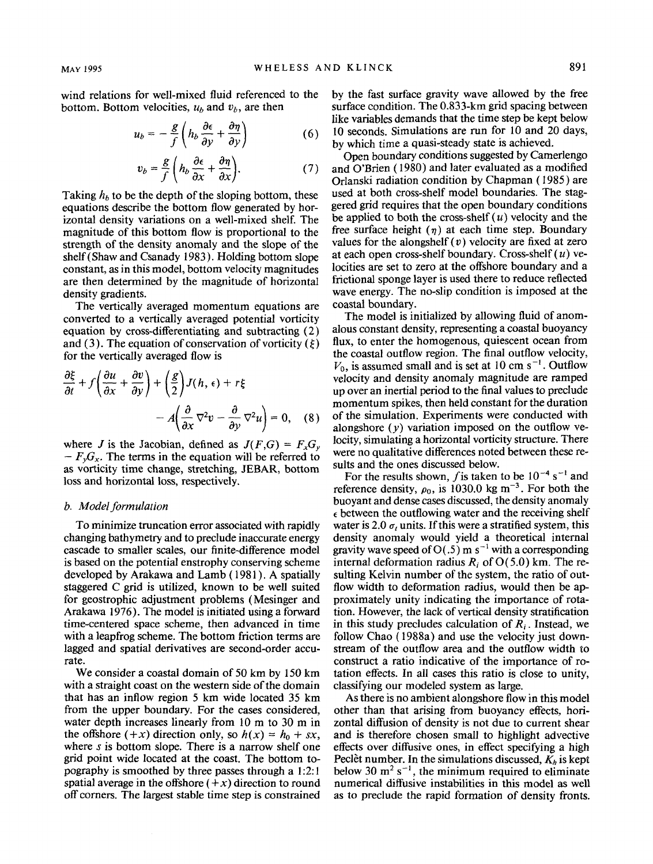wind relations for well-mixed fluid referenced to the bottom. Bottom velocities,  $u<sub>b</sub>$  and  $v<sub>b</sub>$ , are then

$$
u_b = -\frac{g}{f}\left(h_b\frac{\partial \epsilon}{\partial y} + \frac{\partial \eta}{\partial y}\right) \tag{6}
$$

$$
v_b = \frac{g}{f} \left( h_b \frac{\partial \epsilon}{\partial x} + \frac{\partial \eta}{\partial x} \right).
$$
 (7)

Taking  $h_b$  to be the depth of the sloping bottom, these equations describe the bottom flow generated by horizontal density variations on a well-mixed shelf. The magnitude of this bottom flow is proportional to the strength of the density anomaly and the slope of the shelf(Shaw and Csanady 1983). Holding bottom slope constant, as in this model, bottom velocity magnitudes are then determined by the magnitude of horizontal density gradients.

The vertically averaged momentum equations are converted to a vertically averaged potential vorticity equation by cross-differentiating and subtracting ( 2) and (3). The equation of conservation of vorticity ( $\xi$ ) for the vertically averaged flow is

$$
\frac{\partial \xi}{\partial t} + f \left( \frac{\partial u}{\partial x} + \frac{\partial v}{\partial y} \right) + \left( \frac{g}{2} \right) J(h, \epsilon) + r \xi
$$

$$
- A \left( \frac{\partial}{\partial x} \nabla^2 v - \frac{\partial}{\partial y} \nabla^2 u \right) = 0, \quad (8)
$$

where *J* is the Jacobian, defined as  $J(F,G) = F_xG_y$  $- F_y G_x$ . The terms in the equation will be referred to as vorticity time change, stretching, JEBAR, bottom loss and horizontal loss, respectively.

#### *b. Mode/formulation*

To minimize truncation error associated with rapidly changing bathymetry and to preclude inaccurate energy cascade to smaller scales, our finite-difference model is based on the potential enstrophy conserving scheme developed by Arakawa and Lamb ( 1981). A spatially staggered C grid is utilized, known to be well suited for geostrophic adjustment problems ( Mesinger and Arakawa 1976). The model is initiated using a forward time-centered space scheme, then advanced in time with a leapfrog scheme. The bottom friction terms are lagged and spatial derivatives are second-order accurate.

We consider a coastal domain of 50 km by 150 km with a straight coast on the western side of the domain that has an inflow region 5 km wide located 35 km from the upper boundary. For the cases considered, water depth increases linearly from 10 m to 30 m in the offshore  $(+x)$  direction only, so  $h(x) = h_0 + sx$ , where *s* is bottom slope. There is a narrow shelf one grid point wide located at the coast. The bottom topography is smoothed by three passes through a I :2: I spatial average in the offshore  $(+x)$  direction to round off comers. The largest stable time step is constrained by the fast surface gravity wave allowed by the free surface condition. The 0.833-km grid spacing between like variables demands that the time step be kept below 10 seconds. Simulations are run for 10 and 20 days, by which time a quasi-steady state is achieved.

Open boundary conditions suggested by Camerlengo and O'Brien ( 1980) and later evaluated as a modified Orlanski radiation condition by Chapman ( 1985) are used at both cross-shelf model boundaries. The staggered grid requires that the open boundary conditions be applied to both the cross-shelf  $(u)$  velocity and the free surface height  $(\eta)$  at each time step. Boundary values for the alongshelf  $(v)$  velocity are fixed at zero at each open cross-shelf boundary. Cross-shelf  $(u)$  velocities are set to zero at the offshore boundary and a frictional sponge layer is used there to reduce reflected wave energy. The no-slip condition is imposed at the coastal boundary.

The model is initialized by allowing fluid of anomalous constant density, representing a coastal buoyancy flux, to enter the homogenous, quiescent ocean from the coastal outflow region. The final outflow velocity,  $V_0$ , is assumed small and is set at 10 cm s<sup>-1</sup>. Outflow velocity and density anomaly magnitude are ramped up over an inertial period to the final values to preclude momentum spikes, then held constant for the duration of the simulation. Experiments were conducted with alongshore  $(y)$  variation imposed on the outflow velocity, simulating a horizontal vorticity structure. There were no qualitative differences noted between these results and the ones discussed below.

For the results shown, *f* is taken to be  $10^{-4}$  s<sup>-1</sup> and reference density,  $\rho_0$ , is 1030.0 kg m<sup>-3</sup>. For both the buoyant and dense cases discussed, the density anomaly  $\epsilon$  between the outflowing water and the receiving shelf water is 2.0  $\sigma$ , units. If this were a stratified system, this density anomaly would yield a theoretical internal gravity wave speed of  $O(.5)$  m s<sup>-1</sup> with a corresponding internal deformation radius  $R_i$  of  $O(5.0)$  km. The resulting Kelvin number of the system, the ratio of outflow width to deformation radius, would then be approximately unity indicating the importance of rotation. However, the lack of vertical density stratification in this study precludes calculation of *R;* . Instead, we follow Chao (1988a) and use the velocity just downstream of the outflow area and the outflow width to construct a ratio indicative of the importance of rotation effects. In all cases this ratio is close to unity, classifying our modeled system as large.

As there is no ambient alongshore flow in this model other than that arising from buoyancy effects, horizontal diffusion of density is not due to current shear and is therefore chosen small to highlight advective effects over diffusive ones, in effect specifying a high Peclet number. In the simulations discussed,  $K_h$  is kept below 30  $m^2 s^{-1}$ , the minimum required to eliminate numerical diffusive instabilities in this model as well as to preclude the rapid formation of density fronts.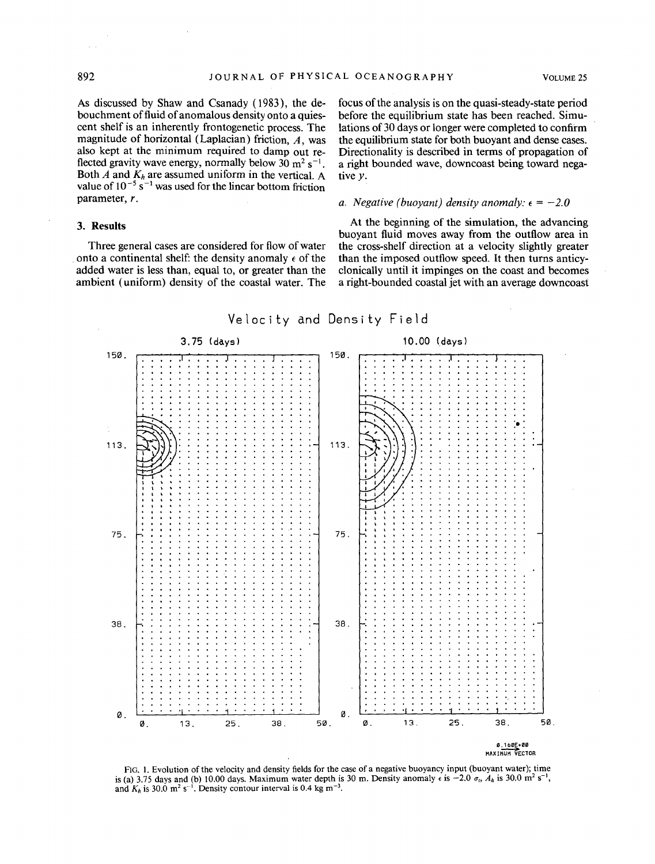As discussed by Shaw and Csanady (1983), the debouchment of fluid of anomalous density onto a quiescent shelf is an inherently frontogenetic process. The magnitude of horizontal (Laplacian) friction,  $A$ , was also kept at the minimum required to damp out reflected gravity wave energy, normally below  $30 \text{ m}^2 \text{ s}^{-1}$ . Both *A* and  $K_h$  are assumed uniform in the vertical. A value of  $10^{-5}$  s<sup>-1</sup> was used for the linear bottom friction parameter, r.

#### **3. Results**

Three general cases are considered for flow of water onto a continental shelf: the density anomaly  $\epsilon$  of the added water is less than, equal to, or greater than the ambient (uniform) density of the coastal water. The focus of the analysis is on the quasi-steady-state period before the equilibrium state has been reached. Simulations of 30 days or longer were completed to confirm the equilibrium state for both buoyant and dense cases. Directionality is described in terms of propagation of a right bounded wave, downcoast being toward negative y.

#### *a. Negative (buoyant) density anomaly:*  $\epsilon = -2.0$

At the beginning of the simulation, the advancing buoyant fluid moves away from the outflow area in the cross-shelf direction at a velocity slightly greater than the imposed outflow speed. It then turns anticyclonically until it impinges on the coast and becomes a right-bounded coastal jet with an average downcoast



FIG. I. Evolution of the velocity and density fields for the case of a negative buoyancy input (buoyant water); time is (a) 3.75 days and (b) 10.00 days. Maximum water depth is 30 m. Density anomaly  $\epsilon$  is  $-2.0 \sigma_1$ ,  $A_h$  is 30.0 m<sup>2</sup> s<sup>-1</sup>. and  $K_h$  is 30.0 m<sup>2</sup> s<sup>-1</sup>. Density contour interval is 0.4 kg m<sup>-3</sup>.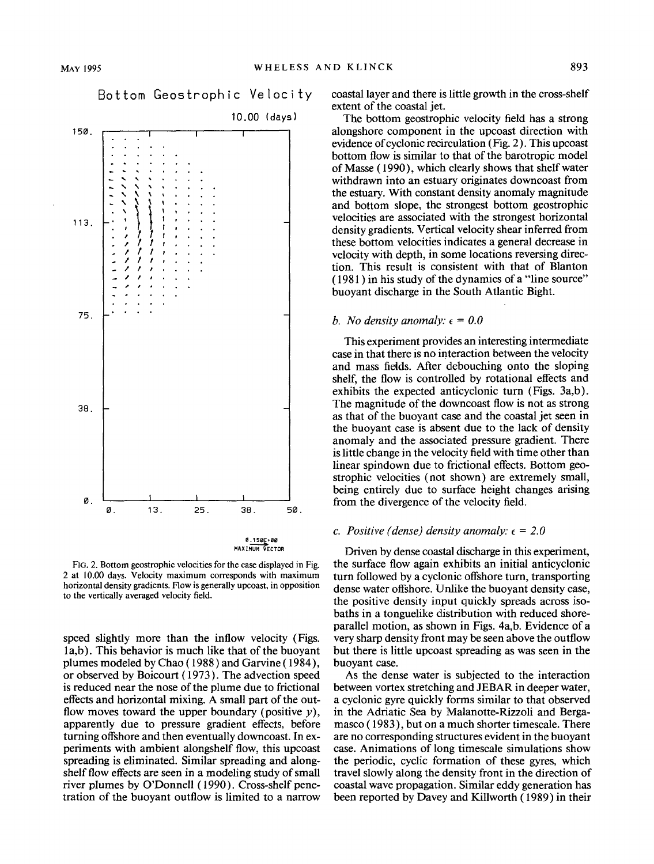





50

38.

FIG. 2. Bottom geostrophic velocities for the case displayed in Fig. 2 at 10.00 days. Velocity maximum corresponds with maximum horizontal density gradients. Flow is generally upcoast, in opposition to the vertically averaged velocity field.

0. 13. 25.

speed slightly more than the inflow velocity (Figs. la,b). This behavior is much like that of the buoyant plumes modeled by Chao ( 1988) and Garvine ( 1984 ), or observed by Boicourt (1973). The advection speed is reduced near the nose of the plume due to frictional effects and horizontal mixing. A small part of the outflow moves toward the upper boundary (positive  $y$ ), apparently due to pressure gradient effects, before turning offshore and then eventually downcoast. In experiments with ambient alongshelf flow, this upcoast spreading is eliminated. Similar spreading and alongshelf flow effects are seen in a modeling study of small river plumes by O'Donnell ( 1990). Cross-shelf penetration of the buoyant outflow is limited to a narrow

coastal layer and there is little growth in the cross-shelf extent of the coastal jet.

The bottom geostrophic velocity field has a strong alongshore component in the upcoast direction with evidence of cyclonic recirculation (Fig. 2). This upcoast bottom flow is similar to that of the barotropic model of Masse ( 1990), which clearly shows that shelf water withdrawn into an estuary originates downcoast from the estuary. With constant density anomaly magnitude and bottom slope, the strongest bottom geostrophic velocities are associated with the strongest horizontal density gradients. Vertical velocity shear inferred from these bottom velocities indicates a general decrease in velocity with depth, in some locations reversing direction. This result is consistent with that of Blanton ( 1981 ) in his study of the dynamics of a "line source" buoyant discharge in the South Atlantic Bight.

#### *b. No density anomaly:*  $\epsilon = 0.0$

This experiment provides an interesting intermediate case in that there is no interaction between the velocity and mass fietds. After debouching onto the sloping shelf, the flow is controlled by rotational effects and exhibits the expected anticyclonic turn (Figs. 3a,b). The magnitude of the downcoast flow is not as strong as that of the buoyant case and the coastal jet seen in the buoyant case is absent due to the lack of density anomaly and the associated pressure gradient. There is little change in the velocity field with time other than linear spindown due to frictional effects. Bottom geostrophic velocities (not shown) are extremely small, being entirely due to surface height changes arising from the divergence of the velocity field.

#### *c. Positive (dense) density anomaly:*  $\epsilon = 2.0$

Driven by dense coastal discharge in this experiment, the surface flow again exhibits an initial anticyclonic turn followed by a cyclonic offshore turn, transporting dense water offshore. Unlike the buoyant density case, the positive density input quickly spreads across isobaths in a tonguelike distribution with reduced shoreparallel motion, as shown in Figs. 4a,b. Evidence of a very sharp density front may be seen above the outflow but there is little upcoast spreading as was seen in the buoyant case.

As the dense water is subjected to the interaction between vortex stretching and JEBAR in deeper water, a cyclonic gyre quickly forms similar to that observed in the Adriatic Sea by Malanotte-Rizzoli and Bergamasco ( 1983), but on a much shorter timescale. There are no corresponding structures evident in the buoyant case. Animations of long timescale simulations show the periodic, cyclic formation of these gyres, which travel slowly along the density front in the direction of coastal wave propagation. Similar eddy generation has been reported by Davey and Killworth ( 1989) in their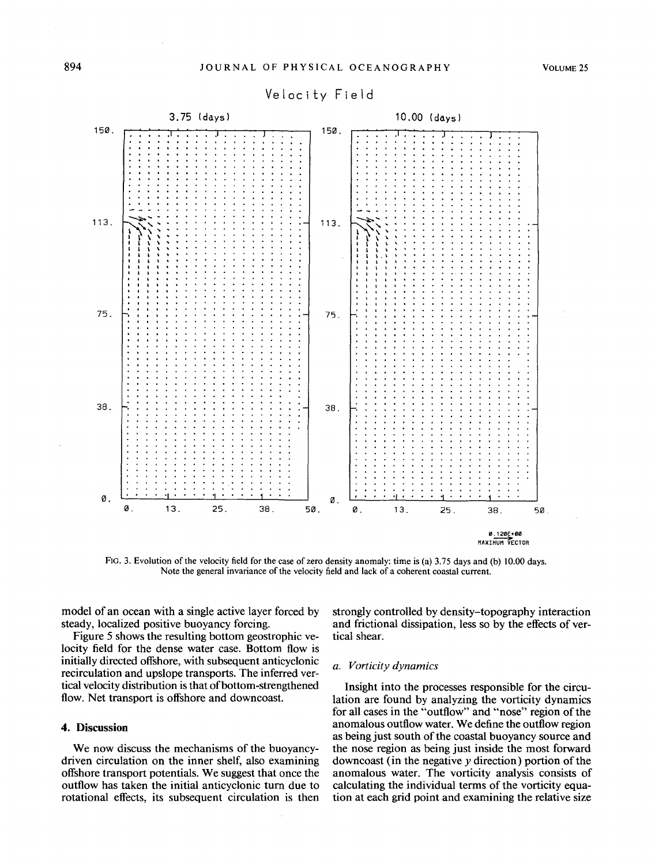

# Velocity Field

FIG. 3. Evolution of the velocity field for the case of zero density anomaly: time is (a) 3.75 days and (b) 10.00 days. Note the general invariance of the velocity field and lack of a coherent coastal current.

model of an ocean with a single active layer forced by steady, localized positive buoyancy forcing.

Figure 5 shows the resulting bottom geostrophic velocity field for the dense water case. Bottom flow is initially directed offshore, with subsequent anticyclonic recirculation and upslope transports. The inferred vertical velocity distribution is that of bottom-strengthened flow. Net transport is offshore and downcoast.

#### **4.** Discussion

We now discuss the mechanisms of the buoyancydriven circulation on the inner shelf, also examining offshore transport potentials. We suggest that once the outflow has taken the initial anticyclonic turn due to rotational effects, its subsequent circulation is then strongly controlled by density-topography interaction and frictional dissipation, less so by the effects of vertical shear.

#### a. Vorticity dynamics

Insight into the processes responsible for the circulation are found by analyzing the vorticity dynamics for all cases in the "outflow" and "nose" region of the anomalous outflow water. We define the outflow region as being just south of the coastal buoyancy source and the nose region as being just inside the most forward downcoast (in the negative  $y$  direction) portion of the anomalous water. The vorticity analysis consists of calculating the individual terms of the vorticity equation at each grid point and examining the relative size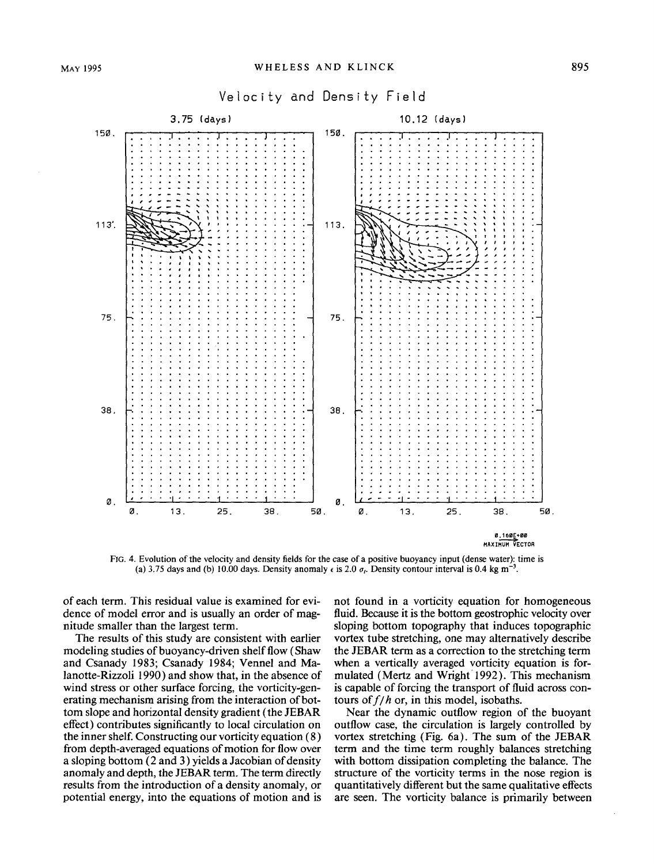

FIG. 4. Evolution of the velocity and density fields for the case of a positive buoyancy input (dense water): time is (a) 3.75 days and (b) 10.00 days. Density anomaly  $\epsilon$  is 2.0  $\sigma_r$ . Density contour interval is 0.4 kg m<sup>-3</sup>.

of each term. This residual value is examined for evidence of model error and is usually an order of magnitude smaller than the largest term.

The results of this study are consistent with earlier modeling studies of buoyancy-driven shelf flow (Shaw and Csanady 1983; Csanady 1984; Vennel and Malanotte-Rizzoli 1990) and show that, in the absence of wind stress or other surface forcing, the vorticity-generating mechanism arising from the interaction of bottom slope and horizontal density gradient (the JEBAR effect) contributes significantly to local circulation on the inner shelf. Constructing our vorticity equation ( 8) from depth-averaged equations of motion for flow over a sloping bottom (2 and 3) yields a Jacobian of density anomaly and depth, the JEBAR term. The term directly results from the introduction of a density anomaly, or potential energy, into the equations of motion and is not found in a vorticity equation for homogeneous fluid. Because it is the bottom geostrophic velocity over sloping bottom topography that induces topographic vortex tube stretching, one may alternatively describe the JEBAR term as a correction to the stretching term when a vertically averaged vorticity equation is formulated (Mertz and Wright 1992). This mechanism is capable of forcing the transport of fluid across contours of  $f/h$  or, in this model, isobaths.

Near the dynamic outflow region of the buoyant outflow case, the circulation is largely controlled by vortex stretching (Fig. 6a). The sum of the JEBAR term and the time term roughly balances stretching with bottom dissipation completing the balance. The structure of the vorticity terms in the nose region is quantitatively different but the same qualitative effects are seen. The vorticity balance is primarily between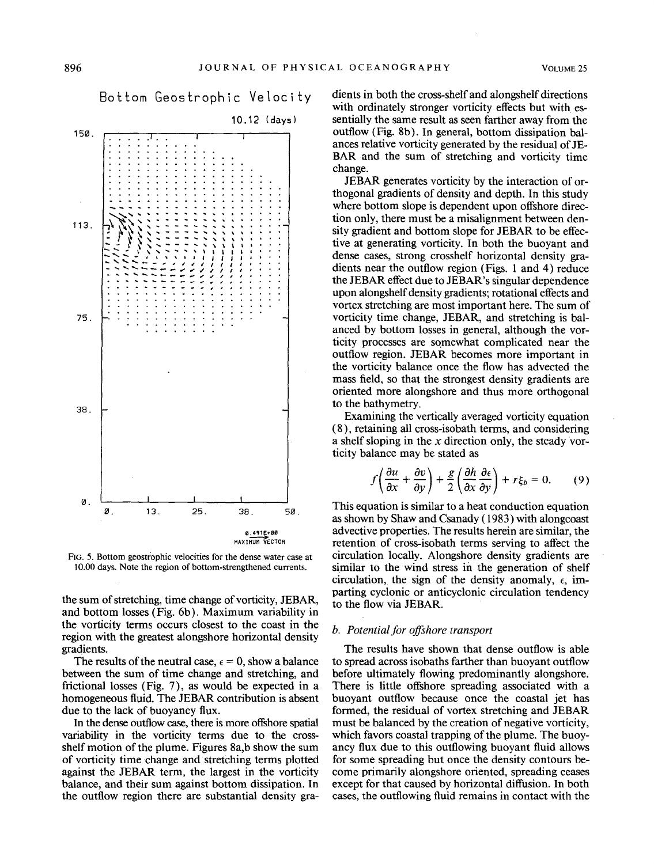

FIG. 5. Bottom geostrophic velocities for the dense water case at 10.00 days. Note the region of bottom-strengthened currents.

the sum of stretching, time change of vorticity, JEBAR, and bottom losses (Fig. 6b). Maximum variability in the vorticity terms occurs closest to the coast in the region with the greatest alongshore horizontal density gradients.

The results of the neutral case,  $\epsilon = 0$ , show a balance between the sum of time change and stretching, and frictional losses (Fig. 7), as would be expected in a homogeneous fluid. The JEBAR contribution is absent due to the lack of buoyancy flux.

In the dense outflow case, there is more offshore spatial variability in the vorticity terms due to the crossshelf motion of the plume. Figures 8a,b show the sum of vorticity time change and stretching terms plotted against the JEBAR term, the largest in the vorticity balance, and their sum against bottom dissipation. In the outflow region there are substantial density gradients in both the cross-shelf and alongshelf directions with ordinately stronger vorticity effects but with essentially the same result as seen farther away from the outflow (Fig. 8b). In general, bottom dissipation balances relative vorticity generated by the residual of JE-BAR and the sum of stretching and vorticity time change.

JEBAR generates vorticity by the interaction of orthogonal gradients of density and depth. In this study where bottom slope is dependent upon offshore direction only, there must be a misalignment between density gradient and bottom slope for JEBAR to be effective at generating vorticity. In both the buoyant and dense cases, strong crosshelf horizontal density gradients near the outflow region (Figs. 1 and 4) reduce the JEBAR effect due to JEBAR's singular dependence upon alongshelf density gradients; rotational effects and vortex stretching are most important here. The sum of vorticity time change, JEBAR, and stretching is balanced by bottom losses in general, although the vorticity processes are somewhat complicated near the outflow region. JEBAR becomes more important in the vorticity balance once the flow has advected the mass field, so that the strongest density gradients are oriented more alongshore and thus more orthogonal to the bathymetry.

Examining the vertically averaged vorticity equation (8), retaining all cross-isobath terms, and considering a shelf sloping in the *x* direction only, the steady vorticity balance may be stated as

$$
f\left(\frac{\partial u}{\partial x} + \frac{\partial v}{\partial y}\right) + \frac{g}{2}\left(\frac{\partial h}{\partial x}\frac{\partial \epsilon}{\partial y}\right) + r\xi_b = 0.
$$
 (9)

This equation is similar to a heat conduction equation as shown by Shaw and Csanady ( 1983) with alongcoast advective properties. The results herein are similar, the retention of cross-isobath terms serving to affect the circulation locally. Alongshore density gradients are similar to the wind stress in the generation of shelf circulation, the sign of the density anomaly,  $\epsilon$ , imparting cyclonic or anticyclonic circulation tendency to the flow via JEBAR.

#### *b. Potential for offshore transport*

The results have shown that dense outflow is able to spread across isobaths farther than buoyant outflow before ultimately flowing predominantly alongshore. There is little offshore spreading associated with a buoyant outflow because once the coastal jet has formed, the residual of vortex stretching and JEBAR must be balanced by the creation of negative vorticity, which favors coastal trapping of the plume. The buoyancy flux due to this outflowing buoyant fluid allows for some spreading but once the density contours become primarily alongshore oriented, spreading ceases except for that caused by horizontal diffusion. In both cases, the outflowing fluid remains in contact with the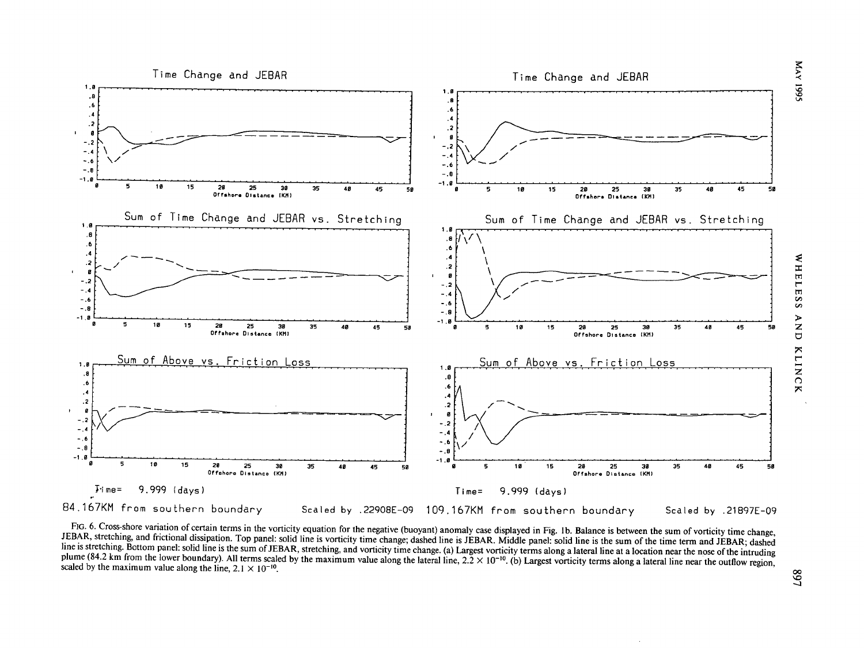

 $\mathbf{r}$ 

FIG. 6. Cross-shore variation of certain terms in the vorticity equation for the negative (buoyant) anomaly case displayed in Fig. 1b. Balance is between the sum of vorticity time change, JEBAR, stretching, and frictional dissipation. Top panel: solid line is vorticity time change; dashed line is JEBAR. Middle panel: solid line is the sum of the time term and JEBAR; dashed line is stretching. Bottom panel: solid line is the sum of JEBAR, stretching, and vorticity time change. (a) Largest vorticity terms along a lateral line at a location near the nose of the intruding plume (84.2 km from the lower boundary). All terms scaled by the maximum value along the lateral line,  $2.2 \times 10^{-10}$ . (b) Largest vorticity terms along a lateral line near the outflow region, scaled by the maximum value

E:: > ..: 'D 'D v.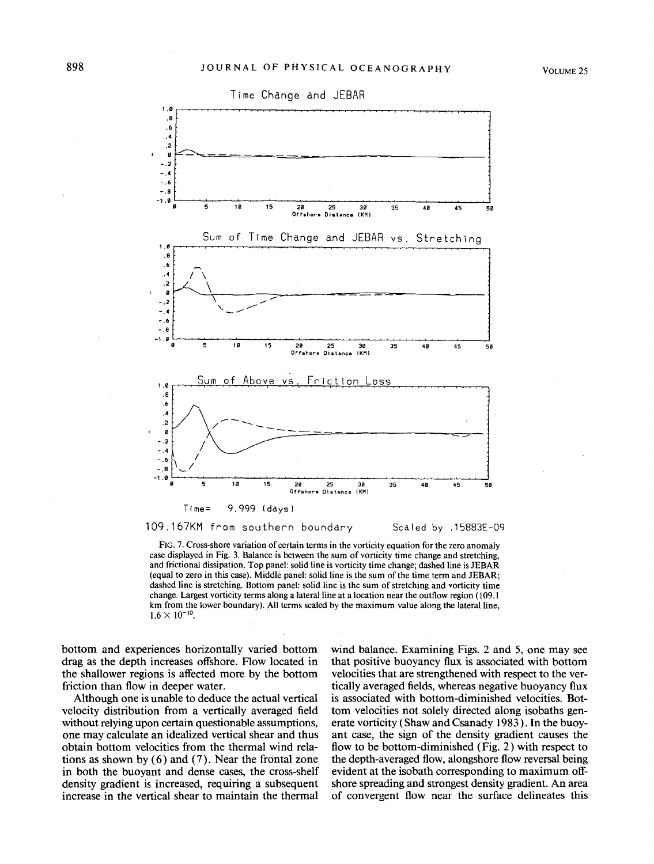

109.167KM from southern boundary Scaled by .15883E-09

FIG. 7. Cross-shore variation of certain terms in the vorticity equation for the zero anomaly case displayed in Fig. 3. Balance is between the sum of vorticity time change and stretching, and frictional dissipation. Top panel: solid line is vorticity time change; dashed line is JEBAR (equal to zero in this case). Middle panel: solid line is the sum of the time term and JEBAR; dashed line is stretching. Bottom panel: solid line is the sum of stretching and vorticity time change. Largest vorticity terms along a lateral line at a location near the outflow region (109.1) km from the lower boundary). All terms scaled by the maximum value along the lateral line,  $1.6 \times 10^{-10}$ .

bottom and experiences horizontally varied bottom drag as the depth increases offshore. Flow located in the shallower regions is affected more by the bottom friction than flow in deeper water.

Although one is unable to deduce the actual vertical velocity distribution from a vertically averaged field without relying upon certain questionable assumptions, one may calculate an idealized vertical shear and thus obtain bottom velocities from the thermal wind relations as shown by  $(6)$  and  $(7)$ . Near the frontal zone in both the buoyant and dense cases, the cross-shelf density gradient is increased, requiring a subsequent increase in the vertical shear to maintain the thermal

wind balance. Examining Figs. 2 and 5, one may see that positive buoyancy flux is associated with bottom velocities that are strengthened with respect to the vertically averaged fields, whereas negative buoyancy flux is associated with bottom-diminished velocities. Bottom velocities not solely directed along isobaths generate vorticity (Shaw and Csanady 1983). In the buoyant case, the sign of the density gradient causes the flow to be bottom-diminished (Fig. 2) with respect to the depth-averaged flow, alongshore flow reversal being evident at the isobath corresponding to maximum offshore spreading and strongest density gradient. An area of convergent flow near the surface delineates this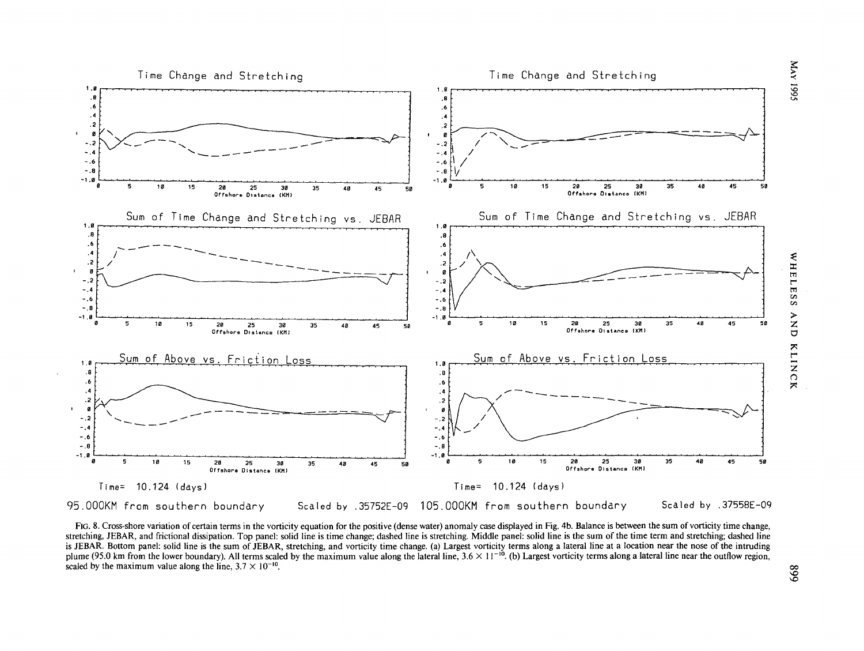

FIG. 8. Cross-shore variation of certain terms in the vorticity equation for the positive (dense water) anomaly case displayed in Fig. 4b. Balance is between the sum of vorticity time change, stretching, JEBAR, and frictional dissipation. Top panel: solid line is time change; dashed line is stretching. Middle panel: solid line is the sum of the time term and stretching; dashed line is JEBAR. Bottom panel: solid line is the sum of JEBAR, stretching, and vorticity time change. (a) Largest vorticity terms along a lateral line at a location near the nose of the intruding plume (95.0 km from the lower boundary). All terms scaled by the maximum value along the lateral line,  $3.6 \times 11^{-10}$ . (b) Largest vorticity terms along a lateral line near the outflow region, scaled by the maximum value along the line,  $3.7 \times 10^{-10}$ .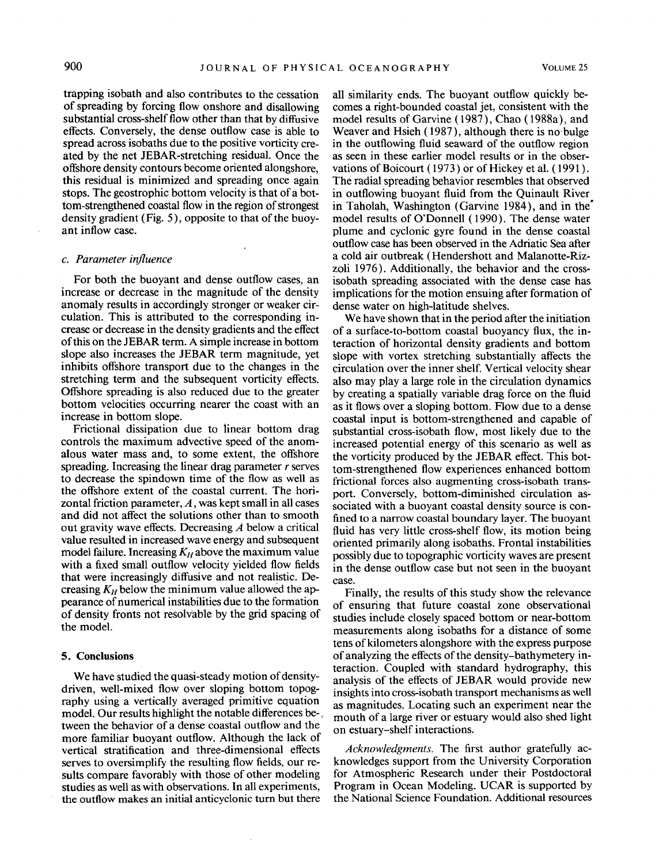trapping isobath and also contributes to the cessation of spreading by forcing flow onshore and disallowing substantial cross-shelf flow other than that by diffusive effects. Conversely, the dense outflow case is able to spread across isobaths due to the positive vorticity created by the net JEBAR-stretching residual. Once the offshore density contours become oriented alongshore, this residual is minimized and spreading once again stops. The geostrophic bottom velocity is that of a bottom-strengthened coastal flow in the region of strongest density gradient (Fig. 5), opposite to that of the buoyant inflow case.

#### *c. Parameter influence*

For both the buoyant and dense outflow cases, an increase or decrease in the magnitude of the density anomaly results in accordingly stronger or weaker circulation. This is attributed to the corresponding increase or decrease in the density gradients and the effect of this on the JEBAR term. A simple increase in bottom slope also increases the JEBAR term magnitude, yet inhibits offshore transport due to the changes in the stretching term and the subsequent vorticity effects. Offshore spreading is also reduced due to the greater bottom velocities occurring nearer the coast with an increase in bottom slope.

Frictional dissipation due to linear bottom drag controls the maximum advective speed of the anomalous water mass and, to some extent, the offshore spreading. Increasing the linear drag parameter *r* serves to decrease the spindown time of the flow as well as the offshore extent of the coastal current. The horizontal friction parameter,  $A$ , was kept small in all cases and did not affect the solutions other than to smooth out gravity wave effects. Decreasing *A* below a critical value resulted in increased wave energy and subsequent model failure. Increasing  $K_H$  above the maximum value with a fixed small outflow velocity yielded flow fields that were increasingly diffusive and not realistic. Decreasing  $K_H$  below the minimum value allowed the appearance of numerical instabilities due to the formation of density fronts not resolvable by the grid spacing of the model.

#### **5. Conclusions**

We have studied the quasi-steady motion of densitydriven, well-mixed flow over sloping bottom topography using a vertically averaged primitive equation model. Our results highlight the notable differences be-, tween the behavior of a dense coastal outflow and the more familiar buoyant outflow. Although the lack of vertical stratification and three-dimensional effects serves to oversimplify the resulting flow fields, our results compare favorably with those of other modeling studies as well as with observations. In all experiments, the outflow makes an initial anticyclonic turn but there

all similarity ends. The buoyant outflow quickly becomes a right-bounded coastal jet, consistent with the model results of Garvine (1987), Chao (1988a), and Weaver and Hsieh ( 1987), although there is no-bulge in the outflowing fluid seaward of the outflow region as seen in these earlier model results or in the observations of Boicourt ( 1973) or of Hickey et al. ( 1991). The radial spreading behavior resembles that observed in outflowing buoyant fluid from the Quinault River in Taholah, Washington (Garvine 1984 ), and in the' model results of O'Donnell ( 1990). The dense water plume and cyclonic gyre found in the dense coastal outflow case has been observed in the Adriatic Sea after a cold air outbreak (Hendershott and Malanotte-Rizzoli 1976). Additionally, the behavior and the crossisobath spreading associated with the dense case has implications for the motion ensuing after formation of dense water on high-latitude shelves.

We have shown that in the period after the initiation of a surface-to-bottom coastal buoyancy flux, the interaction of horizontal density gradients and bottom slope with vortex stretching substantially affects the circulation over the inner shelf. Vertical velocity shear also may play a large role in the circulation dynamics by creating a spatially variable drag force on the fluid as it flows over a sloping bottom. Flow due to a dense coastal input is bottom-strengthened and capable of substantial cross-isobath flow, most likely due to the increased potential energy of this scenario as well as the vorticity produced by the JEBAR effect. This bottom-strengthened flow experiences enhanced bottom frictional forces also augmenting cross-isobath transport. Conversely, bottom-diminished circulation associated with a buoyant coastal density source is confined to a narrow coastal boundary layer. The buoyant fluid has very little cross-shelf flow, its motion being oriented primarily along isobaths. Frontal instabilities possibly due to topographic vorticity waves are present in the dense outflow case but not seen in the buoyant case.

Finally, the results of this study show the relevance of ensuring that future coastal zone observational studies include closely spaced bottom or near-bottom measurements along isobaths for a distance of some tens of kilometers alongshore with the express purpose of analyzing the effects of the density-bathymetery interaction. Coupled with standard hydrography, this analysis of the effects of JEBAR would provide new insights into cross-isobath transport mechanisms as well as magnitudes. Locating such an experiment near the mouth of a large river or estuary would also shed light on estuary-shelf interactions.

*Acknowledgments.* The first author gratefully acknowledges support from the University Corporation for Atmospheric Research under their Postdoctoral Program in Ocean Modeling. UCAR is supported by the National Science Foundation. Additional resources